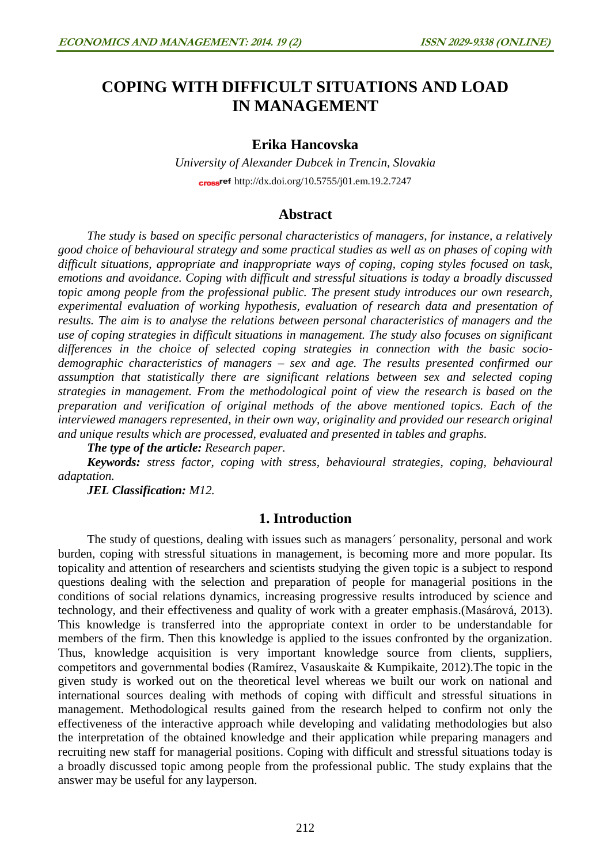# **COPING WITH DIFFICULT SITUATIONS AND LOAD IN MANAGEMENT**

# **Erika Hancovska**

*University of Alexander Dubcek in Trencin, Slovakia* cross<sup>ref</sup> <http://dx.doi.org/10.5755/j01.em.19.2.7247>

## **Abstract**

*The study is based on specific personal characteristics of managers, for instance, a relatively good choice of behavioural strategy and some practical studies as well as on phases of coping with difficult situations, appropriate and inappropriate ways of coping, coping styles focused on task, emotions and avoidance. Coping with difficult and stressful situations is today a broadly discussed topic among people from the professional public. The present study introduces our own research, experimental evaluation of working hypothesis, evaluation of research data and presentation of results. The aim is to analyse the relations between personal characteristics of managers and the use of coping strategies in difficult situations in management. The study also focuses on significant differences in the choice of selected coping strategies in connection with the basic sociodemographic characteristics of managers – sex and age. The results presented confirmed our assumption that statistically there are significant relations between sex and selected coping strategies in management. From the methodological point of view the research is based on the preparation and verification of original methods of the above mentioned topics. Each of the interviewed managers represented, in their own way, originality and provided our research original and unique results which are processed, evaluated and presented in tables and graphs.* 

*The type of the article: Research paper.*

*Keywords: stress factor, coping with stress, behavioural strategies, coping, behavioural adaptation.* 

*JEL Classification: M12.*

# **1. Introduction**

The study of questions, dealing with issues such as managers´ personality, personal and work burden, coping with stressful situations in management, is becoming more and more popular. Its topicality and attention of researchers and scientists studying the given topic is a subject to respond questions dealing with the selection and preparation of people for managerial positions in the conditions of social relations dynamics, increasing progressive results introduced by science and technology, and their effectiveness and quality of work with a greater emphasis.(Masárová, 2013). This knowledge is transferred into the appropriate context in order to be understandable for members of the firm. Then this knowledge is applied to the issues confronted by the organization. Thus, knowledge acquisition is very important knowledge source from clients, suppliers, competitors and governmental bodies (Ramírez, Vasauskaite & Kumpikaite, 2012).The topic in the given study is worked out on the theoretical level whereas we built our work on national and international sources dealing with methods of coping with difficult and stressful situations in management. Methodological results gained from the research helped to confirm not only the effectiveness of the interactive approach while developing and validating methodologies but also the interpretation of the obtained knowledge and their application while preparing managers and recruiting new staff for managerial positions. Coping with difficult and stressful situations today is a broadly discussed topic among people from the professional public. The study explains that the answer may be useful for any layperson.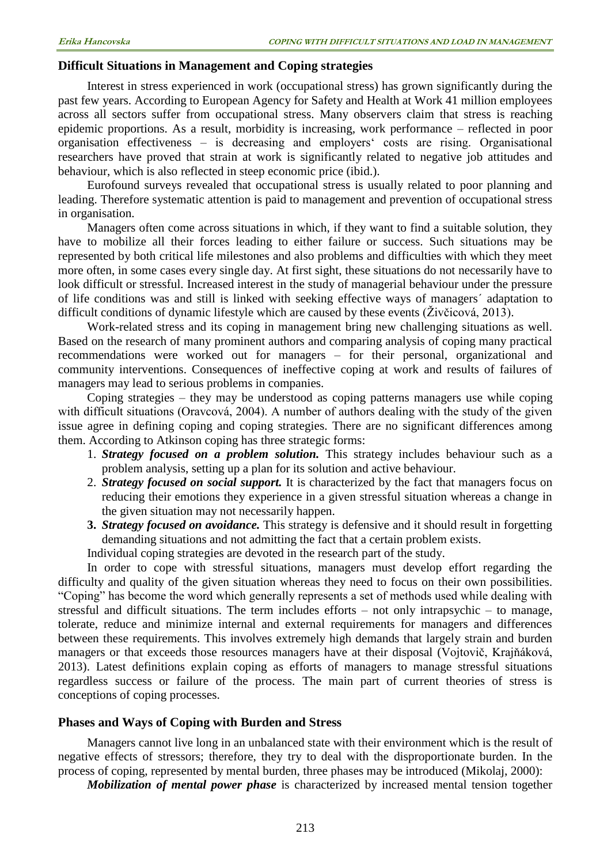#### **Difficult Situations in Management and Coping strategies**

Interest in stress experienced in work (occupational stress) has grown significantly during the past few years. According to European Agency for Safety and Health at Work 41 million employees across all sectors suffer from occupational stress. Many observers claim that stress is reaching epidemic proportions. As a result, morbidity is increasing, work performance – reflected in poor organisation effectiveness – is decreasing and employers' costs are rising. Organisational researchers have proved that strain at work is significantly related to negative job attitudes and behaviour, which is also reflected in steep economic price (ibid.).

Eurofound surveys revealed that occupational stress is usually related to poor planning and leading. Therefore systematic attention is paid to management and prevention of occupational stress in organisation.

Managers often come across situations in which, if they want to find a suitable solution, they have to mobilize all their forces leading to either failure or success. Such situations may be represented by both critical life milestones and also problems and difficulties with which they meet more often, in some cases every single day. At first sight, these situations do not necessarily have to look difficult or stressful. Increased interest in the study of managerial behaviour under the pressure of life conditions was and still is linked with seeking effective ways of managers´ adaptation to difficult conditions of dynamic lifestyle which are caused by these events (Živčicová, 2013).

Work-related stress and its coping in management bring new challenging situations as well. Based on the research of many prominent authors and comparing analysis of coping many practical recommendations were worked out for managers – for their personal, organizational and community interventions. Consequences of ineffective coping at work and results of failures of managers may lead to serious problems in companies.

Coping strategies – they may be understood as coping patterns managers use while coping with difficult situations (Oravcová, 2004). A number of authors dealing with the study of the given issue agree in defining coping and coping strategies. There are no significant differences among them. According to Atkinson coping has three strategic forms:

- 1. *Strategy focused on a problem solution.* This strategy includes behaviour such as a problem analysis, setting up a plan for its solution and active behaviour.
- 2. *Strategy focused on social support.* It is characterized by the fact that managers focus on reducing their emotions they experience in a given stressful situation whereas a change in the given situation may not necessarily happen.
- **3.** *Strategy focused on avoidance.* This strategy is defensive and it should result in forgetting demanding situations and not admitting the fact that a certain problem exists.

Individual coping strategies are devoted in the research part of the study.

In order to cope with stressful situations, managers must develop effort regarding the difficulty and quality of the given situation whereas they need to focus on their own possibilities. "Coping" has become the word which generally represents a set of methods used while dealing with stressful and difficult situations. The term includes efforts – not only intrapsychic – to manage, tolerate, reduce and minimize internal and external requirements for managers and differences between these requirements. This involves extremely high demands that largely strain and burden managers or that exceeds those resources managers have at their disposal (Vojtovič, Krajňáková, 2013). Latest definitions explain coping as efforts of managers to manage stressful situations regardless success or failure of the process. The main part of current theories of stress is conceptions of coping processes.

#### **Phases and Ways of Coping with Burden and Stress**

Managers cannot live long in an unbalanced state with their environment which is the result of negative effects of stressors; therefore, they try to deal with the disproportionate burden. In the process of coping, represented by mental burden, three phases may be introduced (Mikolaj, 2000):

*Mobilization of mental power phase* is characterized by increased mental tension together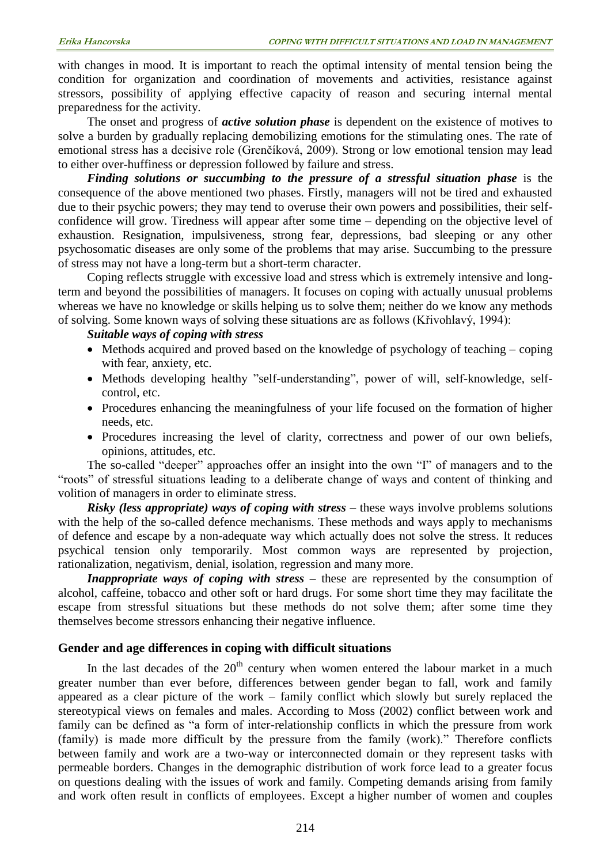with changes in mood. It is important to reach the optimal intensity of mental tension being the condition for organization and coordination of movements and activities, resistance against stressors, possibility of applying effective capacity of reason and securing internal mental preparedness for the activity.

The onset and progress of *active solution phase* is dependent on the existence of motives to solve a burden by gradually replacing demobilizing emotions for the stimulating ones. The rate of emotional stress has a decisive role (Grenčíková, 2009). Strong or low emotional tension may lead to either over-huffiness or depression followed by failure and stress.

*Finding solutions or succumbing to the pressure of a stressful situation phase* is the consequence of the above mentioned two phases. Firstly, managers will not be tired and exhausted due to their psychic powers; they may tend to overuse their own powers and possibilities, their selfconfidence will grow. Tiredness will appear after some time – depending on the objective level of exhaustion. Resignation, impulsiveness, strong fear, depressions, bad sleeping or any other psychosomatic diseases are only some of the problems that may arise. Succumbing to the pressure of stress may not have a long-term but a short-term character.

Coping reflects struggle with excessive load and stress which is extremely intensive and longterm and beyond the possibilities of managers. It focuses on coping with actually unusual problems whereas we have no knowledge or skills helping us to solve them; neither do we know any methods of solving. Some known ways of solving these situations are as follows (Křivohlavý, 1994):

#### *Suitable ways of coping with stress*

- Methods acquired and proved based on the knowledge of psychology of teaching coping with fear, anxiety, etc.
- Methods developing healthy "self-understanding", power of will, self-knowledge, selfcontrol, etc.
- Procedures enhancing the meaningfulness of your life focused on the formation of higher needs, etc.
- Procedures increasing the level of clarity, correctness and power of our own beliefs, opinions, attitudes, etc.

The so-called "deeper" approaches offer an insight into the own "I" of managers and to the "roots" of stressful situations leading to a deliberate change of ways and content of thinking and volition of managers in order to eliminate stress.

*Risky (less appropriate) ways of coping with stress –* these ways involve problems solutions with the help of the so-called defence mechanisms. These methods and ways apply to mechanisms of defence and escape by a non-adequate way which actually does not solve the stress. It reduces psychical tension only temporarily. Most common ways are represented by projection, rationalization, negativism, denial, isolation, regression and many more.

*Inappropriate ways of coping with stress –* these are represented by the consumption of alcohol, caffeine, tobacco and other soft or hard drugs. For some short time they may facilitate the escape from stressful situations but these methods do not solve them; after some time they themselves become stressors enhancing their negative influence.

#### **Gender and age differences in coping with difficult situations**

In the last decades of the  $20<sup>th</sup>$  century when women entered the labour market in a much greater number than ever before, differences between gender began to fall, work and family appeared as a clear picture of the work – family conflict which slowly but surely replaced the stereotypical views on females and males. According to Moss (2002) conflict between work and family can be defined as "a form of inter-relationship conflicts in which the pressure from work (family) is made more difficult by the pressure from the family (work)." Therefore conflicts between family and work are a two-way or interconnected domain or they represent tasks with permeable borders. Changes in the demographic distribution of work force lead to a greater focus on questions dealing with the issues of work and family. Competing demands arising from family and work often result in conflicts of employees. Except a higher number of women and couples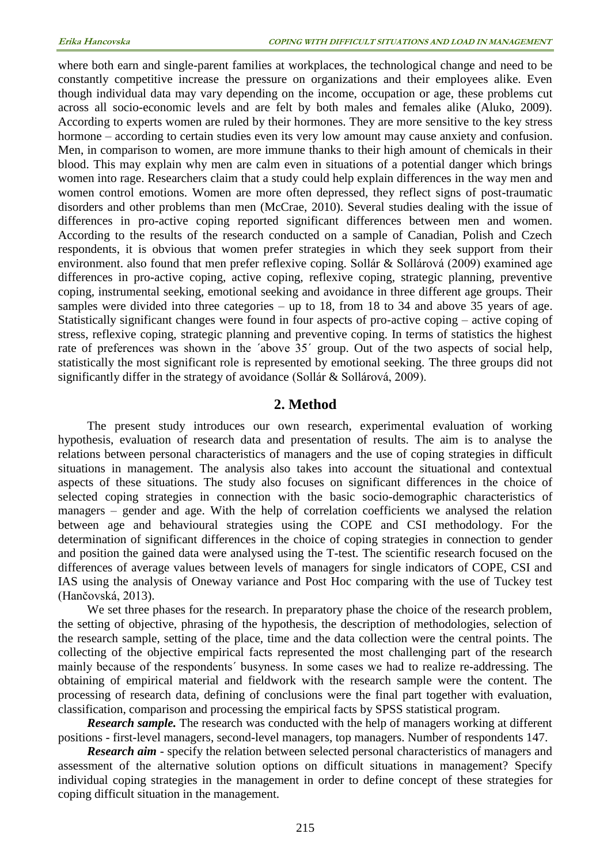where both earn and single-parent families at workplaces, the technological change and need to be constantly competitive increase the pressure on organizations and their employees alike. Even though individual data may vary depending on the income, occupation or age, these problems cut across all socio-economic levels and are felt by both males and females alike (Aluko, 2009). According to experts women are ruled by their hormones. They are more sensitive to the key stress hormone – according to certain studies even its very low amount may cause anxiety and confusion. Men, in comparison to women, are more immune thanks to their high amount of chemicals in their blood. This may explain why men are calm even in situations of a potential danger which brings women into rage. Researchers claim that a study could help explain differences in the way men and women control emotions. Women are more often depressed, they reflect signs of post-traumatic disorders and other problems than men (McCrae, 2010). Several studies dealing with the issue of differences in pro-active coping reported significant differences between men and women. According to the results of the research conducted on a sample of Canadian, Polish and Czech respondents, it is obvious that women prefer strategies in which they seek support from their environment. also found that men prefer reflexive coping. Sollár & Sollárová (2009) examined age differences in pro-active coping, active coping, reflexive coping, strategic planning, preventive coping, instrumental seeking, emotional seeking and avoidance in three different age groups. Their samples were divided into three categories – up to 18, from 18 to 34 and above 35 years of age. Statistically significant changes were found in four aspects of pro-active coping – active coping of stress, reflexive coping, strategic planning and preventive coping. In terms of statistics the highest rate of preferences was shown in the 'above 35' group. Out of the two aspects of social help, statistically the most significant role is represented by emotional seeking. The three groups did not significantly differ in the strategy of avoidance (Sollár & Sollárová, 2009).

## **2. Method**

The present study introduces our own research, experimental evaluation of working hypothesis, evaluation of research data and presentation of results. The aim is to analyse the relations between personal characteristics of managers and the use of coping strategies in difficult situations in management. The analysis also takes into account the situational and contextual aspects of these situations. The study also focuses on significant differences in the choice of selected coping strategies in connection with the basic socio-demographic characteristics of managers – gender and age. With the help of correlation coefficients we analysed the relation between age and behavioural strategies using the COPE and CSI methodology. For the determination of significant differences in the choice of coping strategies in connection to gender and position the gained data were analysed using the T-test. The scientific research focused on the differences of average values between levels of managers for single indicators of COPE, CSI and IAS using the analysis of Oneway variance and Post Hoc comparing with the use of Tuckey test (Hančovská, 2013).

We set three phases for the research. In preparatory phase the choice of the research problem, the setting of objective, phrasing of the hypothesis, the description of methodologies, selection of the research sample, setting of the place, time and the data collection were the central points. The collecting of the objective empirical facts represented the most challenging part of the research mainly because of the respondents´ busyness. In some cases we had to realize re-addressing. The obtaining of empirical material and fieldwork with the research sample were the content. The processing of research data, defining of conclusions were the final part together with evaluation, classification, comparison and processing the empirical facts by SPSS statistical program.

*Research sample.* The research was conducted with the help of managers working at different positions - first-level managers, second-level managers, top managers. Number of respondents 147.

*Research aim* - specify the relation between selected personal characteristics of managers and assessment of the alternative solution options on difficult situations in management? Specify individual coping strategies in the management in order to define concept of these strategies for coping difficult situation in the management.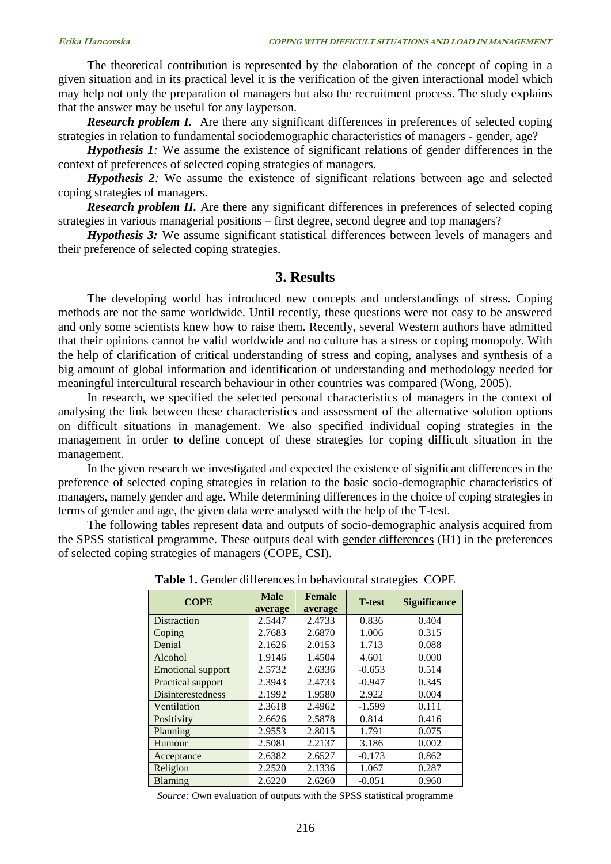The theoretical contribution is represented by the elaboration of the concept of coping in a given situation and in its practical level it is the verification of the given interactional model which may help not only the preparation of managers but also the recruitment process. The study explains that the answer may be useful for any layperson.

*Research problem I.* Are there any significant differences in preferences of selected coping strategies in relation to fundamental sociodemographic characteristics of managers - gender, age?

*Hypothesis 1:* We assume the existence of significant relations of gender differences in the context of preferences of selected coping strategies of managers.

*Hypothesis 2:* We assume the existence of significant relations between age and selected coping strategies of managers.

*Research problem II.* Are there any significant differences in preferences of selected coping strategies in various managerial positions – first degree, second degree and top managers?

*Hypothesis 3:* We assume significant statistical differences between levels of managers and their preference of selected coping strategies.

## **3. Results**

The developing world has introduced new concepts and understandings of stress. Coping methods are not the same worldwide. Until recently, these questions were not easy to be answered and only some scientists knew how to raise them. Recently, several Western authors have admitted that their opinions cannot be valid worldwide and no culture has a stress or coping monopoly. With the help of clarification of critical understanding of stress and coping, analyses and synthesis of a big amount of global information and identification of understanding and methodology needed for meaningful intercultural research behaviour in other countries was compared (Wong, 2005).

In research, we specified the selected personal characteristics of managers in the context of analysing the link between these characteristics and assessment of the alternative solution options on difficult situations in management. We also specified individual coping strategies in the management in order to define concept of these strategies for coping difficult situation in the management.

In the given research we investigated and expected the existence of significant differences in the preference of selected coping strategies in relation to the basic socio-demographic characteristics of managers, namely gender and age. While determining differences in the choice of coping strategies in terms of gender and age, the given data were analysed with the help of the T-test.

The following tables represent data and outputs of socio-demographic analysis acquired from the SPSS statistical programme. These outputs deal with gender differences (H1) in the preferences of selected coping strategies of managers (COPE, CSI).

| <b>COPE</b>              | <b>Male</b><br>average | <b>Female</b><br>average | <b>T</b> -test | <b>Significance</b> |  |  |
|--------------------------|------------------------|--------------------------|----------------|---------------------|--|--|
| <b>Distraction</b>       | 2.5447                 | 2.4733                   | 0.836          | 0.404               |  |  |
| Coping                   | 2.7683                 | 2.6870                   | 1.006          | 0.315               |  |  |
| Denial                   | 2.1626                 | 2.0153                   | 1.713          | 0.088               |  |  |
| Alcohol                  | 1.9146                 | 1.4504                   | 4.601          | 0.000               |  |  |
| <b>Emotional support</b> | 2.5732                 | 2.6336                   | $-0.653$       | 0.514               |  |  |
| Practical support        | 2.3943                 | 2.4733                   | $-0.947$       | 0.345               |  |  |
| <b>Disinterestedness</b> | 2.1992                 | 1.9580                   | 2.922          | 0.004               |  |  |
| Ventilation              | 2.3618                 | 2.4962                   | $-1.599$       | 0.111               |  |  |
| Positivity               | 2.6626                 | 2.5878                   | 0.814          | 0.416               |  |  |
| Planning                 | 2.9553                 | 2.8015                   | 1.791          | 0.075               |  |  |
| Humour                   | 2.5081                 | 2.2137                   | 3.186          | 0.002               |  |  |
| Acceptance               | 2.6382                 | 2.6527                   | $-0.173$       | 0.862               |  |  |
| Religion                 | 2.2520                 | 2.1336                   | 1.067          | 0.287               |  |  |
| Blaming                  | 2.6220                 | 2.6260                   | $-0.051$       | 0.960               |  |  |

**Table 1.** Gender differences in behavioural strategies COPE

*Source:* Own evaluation of outputs with the SPSS statistical programme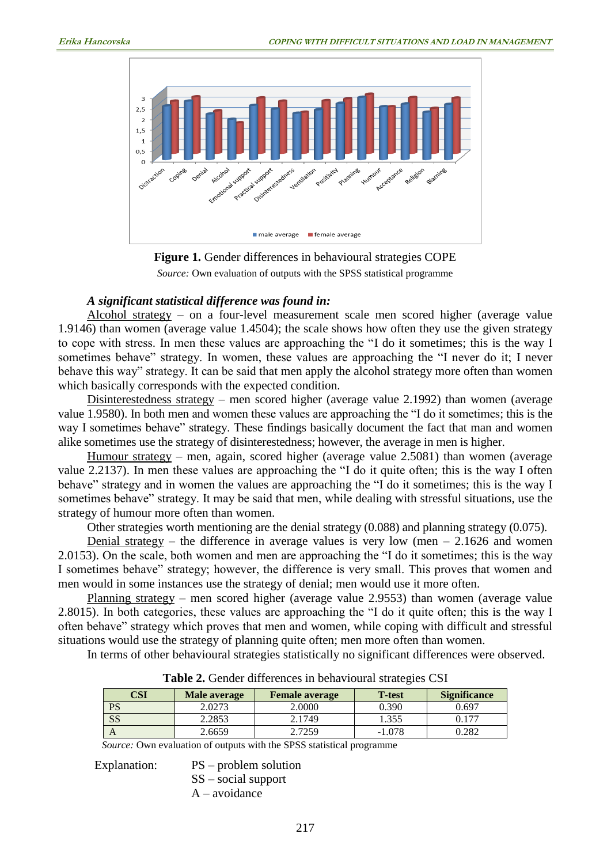



## *A significant statistical difference was found in:*

Alcohol strategy – on a four-level measurement scale men scored higher (average value 1.9146) than women (average value 1.4504); the scale shows how often they use the given strategy to cope with stress. In men these values are approaching the "I do it sometimes; this is the way I sometimes behave" strategy. In women, these values are approaching the "I never do it; I never behave this way" strategy. It can be said that men apply the alcohol strategy more often than women which basically corresponds with the expected condition.

Disinterestedness strategy – men scored higher (average value 2.1992) than women (average value 1.9580). In both men and women these values are approaching the "I do it sometimes; this is the way I sometimes behave" strategy. These findings basically document the fact that man and women alike sometimes use the strategy of disinterestedness; however, the average in men is higher.

Humour strategy – men, again, scored higher (average value 2.5081) than women (average value 2.2137). In men these values are approaching the "I do it quite often; this is the way I often behave" strategy and in women the values are approaching the "I do it sometimes; this is the way I sometimes behave" strategy. It may be said that men, while dealing with stressful situations, use the strategy of humour more often than women.

Other strategies worth mentioning are the denial strategy (0.088) and planning strategy (0.075).

Denial strategy – the difference in average values is very low (men  $-2.1626$  and women 2.0153). On the scale, both women and men are approaching the "I do it sometimes; this is the way I sometimes behave" strategy; however, the difference is very small. This proves that women and men would in some instances use the strategy of denial; men would use it more often.

Planning strategy – men scored higher (average value 2.9553) than women (average value 2.8015). In both categories, these values are approaching the "I do it quite often; this is the way I often behave" strategy which proves that men and women, while coping with difficult and stressful situations would use the strategy of planning quite often; men more often than women.

In terms of other behavioural strategies statistically no significant differences were observed.

| CSI       | Male average | <b>Female average</b> | <b>T</b> -test | <b>Significance</b> |
|-----------|--------------|-----------------------|----------------|---------------------|
| <b>PS</b> | 2.0273       | 2.0000                | 0.390          | 0.697               |
| SS        | 2.2853       | 2.1749                | 1.355          |                     |
|           | 2.6659       | .7259                 | $-1.078$       | .282                |

**Table 2.** Gender differences in behavioural strategies CSI

*Source:* Own evaluation of outputs with the SPSS statistical programme

Explanation: PS – problem solution SS – social support A – avoidance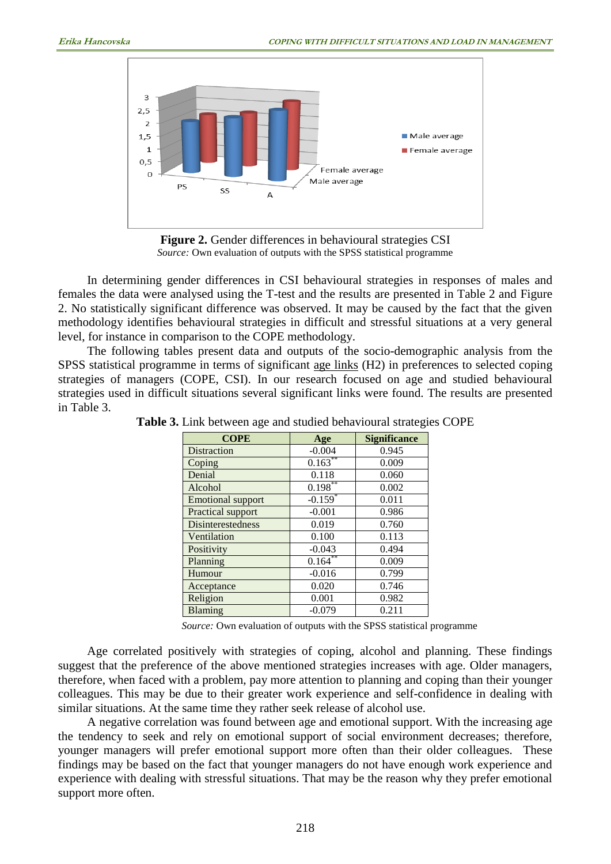

**Figure 2.** Gender differences in behavioural strategies CSI *Source:* Own evaluation of outputs with the SPSS statistical programme

In determining gender differences in CSI behavioural strategies in responses of males and females the data were analysed using the T-test and the results are presented in Table 2 and Figure 2. No statistically significant difference was observed. It may be caused by the fact that the given methodology identifies behavioural strategies in difficult and stressful situations at a very general level, for instance in comparison to the COPE methodology.

The following tables present data and outputs of the socio-demographic analysis from the SPSS statistical programme in terms of significant age links (H2) in preferences to selected coping strategies of managers (COPE, CSI). In our research focused on age and studied behavioural strategies used in difficult situations several significant links were found. The results are presented in Table 3.

| <b>COPE</b>              | Age                   | <b>Significance</b> |
|--------------------------|-----------------------|---------------------|
| Distraction              | $-0.004$              | 0.945               |
| Coping                   | $0.163***$            | 0.009               |
| Denial                   | 0.118                 | 0.060               |
| Alcohol                  | $0.198**$             | 0.002               |
| <b>Emotional support</b> | $-0.159$ <sup>*</sup> | 0.011               |
| Practical support        | $-0.001$              | 0.986               |
| Disinterestedness        | 0.019                 | 0.760               |
| Ventilation              | 0.100                 | 0.113               |
| Positivity               | $-0.043$              | 0.494               |
| Planning                 | $0.164^{**}$          | 0.009               |
| Humour                   | $-0.016$              | 0.799               |
| Acceptance               | 0.020                 | 0.746               |
| Religion                 | 0.001                 | 0.982               |
| Blaming                  | $-0.079$              | 0.211               |

**Table 3.** Link between age and studied behavioural strategies COPE

*Source:* Own evaluation of outputs with the SPSS statistical programme

Age correlated positively with strategies of coping, alcohol and planning. These findings suggest that the preference of the above mentioned strategies increases with age. Older managers, therefore, when faced with a problem, pay more attention to planning and coping than their younger colleagues. This may be due to their greater work experience and self-confidence in dealing with similar situations. At the same time they rather seek release of alcohol use.

A negative correlation was found between age and emotional support. With the increasing age the tendency to seek and rely on emotional support of social environment decreases; therefore, younger managers will prefer emotional support more often than their older colleagues. These findings may be based on the fact that younger managers do not have enough work experience and experience with dealing with stressful situations. That may be the reason why they prefer emotional support more often.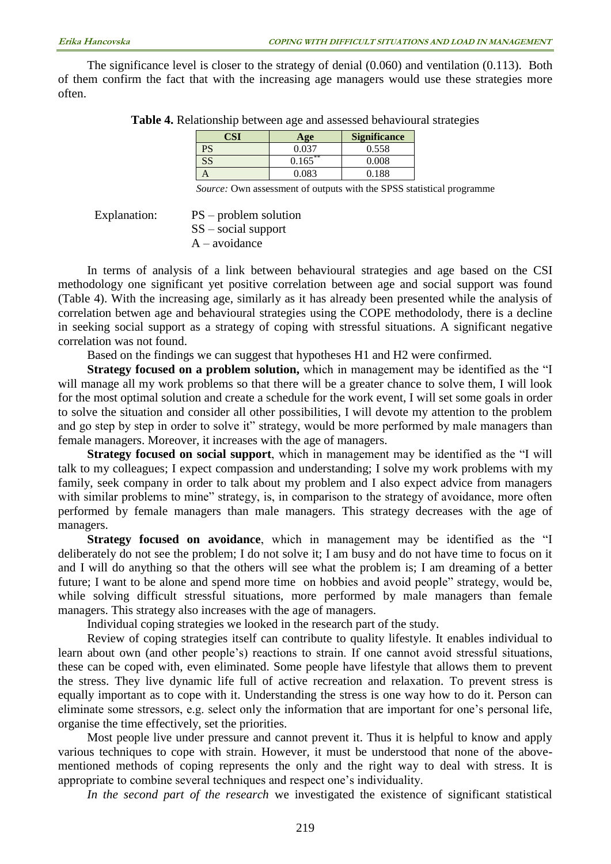The significance level is closer to the strategy of denial (0.060) and ventilation (0.113). Both of them confirm the fact that with the increasing age managers would use these strategies more often.

| CSI | Age        | <b>Significance</b> |  |
|-----|------------|---------------------|--|
| PS  | 0.037      | 0.558               |  |
| SS  | $0.165***$ | 0.008               |  |
|     | 0.083      | 0.188               |  |

*Source:* Own assessment of outputs with the SPSS statistical programme

#### Explanation: PS – problem solution SS – social support A – avoidance

In terms of analysis of a link between behavioural strategies and age based on the CSI methodology one significant yet positive correlation between age and social support was found (Table 4). With the increasing age, similarly as it has already been presented while the analysis of correlation betwen age and behavioural strategies using the COPE methodolody, there is a decline in seeking social support as a strategy of coping with stressful situations. A significant negative correlation was not found.

Based on the findings we can suggest that hypotheses H1 and H2 were confirmed.

**Strategy focused on a problem solution,** which in management may be identified as the "I will manage all my work problems so that there will be a greater chance to solve them, I will look for the most optimal solution and create a schedule for the work event, I will set some goals in order to solve the situation and consider all other possibilities, I will devote my attention to the problem and go step by step in order to solve it" strategy, would be more performed by male managers than female managers. Moreover, it increases with the age of managers.

**Strategy focused on social support**, which in management may be identified as the "I will talk to my colleagues; I expect compassion and understanding; I solve my work problems with my family, seek company in order to talk about my problem and I also expect advice from managers with similar problems to mine" strategy, is, in comparison to the strategy of avoidance, more often performed by female managers than male managers. This strategy decreases with the age of managers.

**Strategy focused on avoidance**, which in management may be identified as the "I deliberately do not see the problem; I do not solve it; I am busy and do not have time to focus on it and I will do anything so that the others will see what the problem is; I am dreaming of a better future; I want to be alone and spend more time on hobbies and avoid people" strategy, would be, while solving difficult stressful situations, more performed by male managers than female managers. This strategy also increases with the age of managers.

Individual coping strategies we looked in the research part of the study.

Review of coping strategies itself can contribute to quality lifestyle. It enables individual to learn about own (and other people's) reactions to strain. If one cannot avoid stressful situations, these can be coped with, even eliminated. Some people have lifestyle that allows them to prevent the stress. They live dynamic life full of active recreation and relaxation. To prevent stress is equally important as to cope with it. Understanding the stress is one way how to do it. Person can eliminate some stressors, e.g. select only the information that are important for one's personal life, organise the time effectively, set the priorities.

Most people live under pressure and cannot prevent it. Thus it is helpful to know and apply various techniques to cope with strain. However, it must be understood that none of the abovementioned methods of coping represents the only and the right way to deal with stress. It is appropriate to combine several techniques and respect one's individuality.

*In the second part of the research* we investigated the existence of significant statistical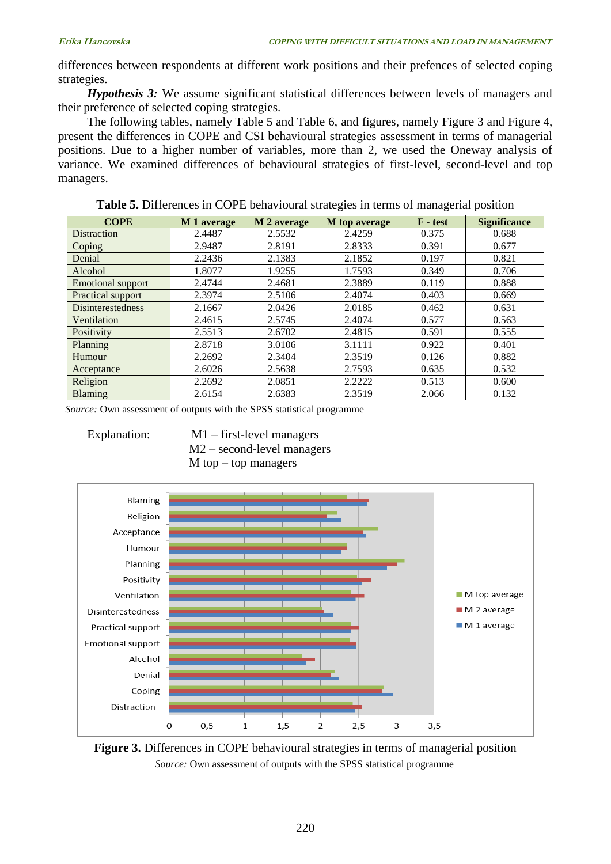differences between respondents at different work positions and their prefences of selected coping strategies.

*Hypothesis 3:* We assume significant statistical differences between levels of managers and their preference of selected coping strategies.

The following tables, namely Table 5 and Table 6, and figures, namely Figure 3 and Figure 4, present the differences in COPE and CSI behavioural strategies assessment in terms of managerial positions. Due to a higher number of variables, more than 2, we used the Oneway analysis of variance. We examined differences of behavioural strategies of first-level, second-level and top managers.

| <b>COPE</b>              | M 1 average | M 2 average | M top average | $F - test$ | <b>Significance</b> |
|--------------------------|-------------|-------------|---------------|------------|---------------------|
| Distraction              | 2.4487      | 2.5532      | 2.4259        | 0.375      | 0.688               |
| Coping                   | 2.9487      | 2.8191      | 2.8333        | 0.391      | 0.677               |
| Denial                   | 2.2436      | 2.1383      | 2.1852        | 0.197      | 0.821               |
| Alcohol                  | 1.8077      | 1.9255      | 1.7593        | 0.349      | 0.706               |
| <b>Emotional support</b> | 2.4744      | 2.4681      | 2.3889        | 0.119      | 0.888               |
| Practical support        | 2.3974      | 2.5106      | 2.4074        | 0.403      | 0.669               |
| <b>Disinterestedness</b> | 2.1667      | 2.0426      | 2.0185        | 0.462      | 0.631               |
| Ventilation              | 2.4615      | 2.5745      | 2.4074        | 0.577      | 0.563               |
| Positivity               | 2.5513      | 2.6702      | 2.4815        | 0.591      | 0.555               |
| Planning                 | 2.8718      | 3.0106      | 3.1111        | 0.922      | 0.401               |
| Humour                   | 2.2692      | 2.3404      | 2.3519        | 0.126      | 0.882               |
| Acceptance               | 2.6026      | 2.5638      | 2.7593        | 0.635      | 0.532               |
| Religion                 | 2.2692      | 2.0851      | 2.2222        | 0.513      | 0.600               |
| <b>Blaming</b>           | 2.6154      | 2.6383      | 2.3519        | 2.066      | 0.132               |

**Table 5.** Differences in COPE behavioural strategies in terms of managerial position

*Source:* Own assessment of outputs with the SPSS statistical programme

Explanation: M1 – first-level managers M2 – second-level managers  $M$  top – top managers



**Figure 3.** Differences in COPE behavioural strategies in terms of managerial position *Source:* Own assessment of outputs with the SPSS statistical programme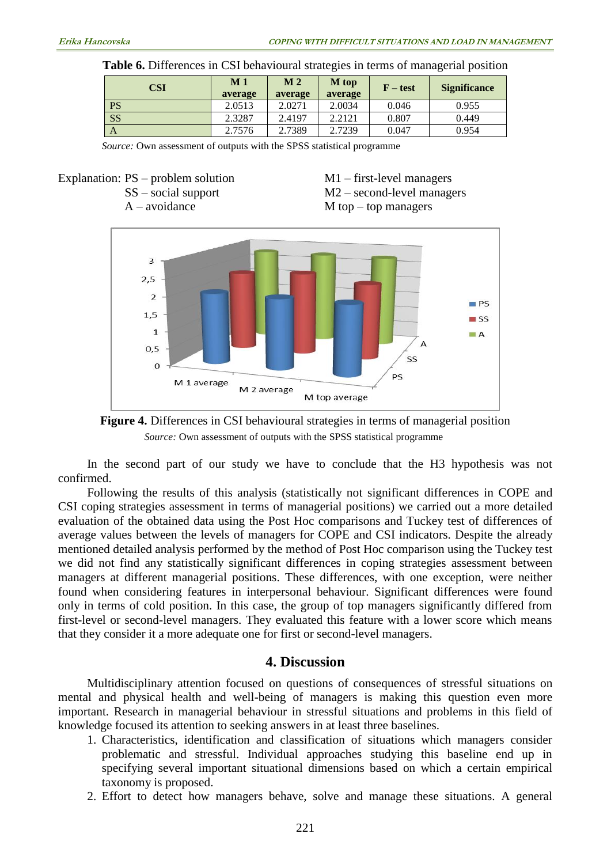| <b>CSI</b> | M <sub>1</sub><br>average | M <sub>2</sub><br>average | M top<br>average | $F - test$ | <b>Significance</b> |
|------------|---------------------------|---------------------------|------------------|------------|---------------------|
| <b>PS</b>  | 2.0513                    | 2.0271                    | 2.0034           | 0.046      | 0.955               |
| <b>SS</b>  | 2.3287                    | 2.4197                    | 2.2121           | 0.807      | 0.449               |
| A          | 2.7576                    | 2.7389                    | 2.7239           | 0.047      | 0.954               |

|  |  |  |  | Table 6. Differences in CSI behavioural strategies in terms of managerial position |  |  |  |  |
|--|--|--|--|------------------------------------------------------------------------------------|--|--|--|--|
|--|--|--|--|------------------------------------------------------------------------------------|--|--|--|--|

*Source:* Own assessment of outputs with the SPSS statistical programme



Explanation: PS – problem solution M1 – first-level managers<br>SS – social support M2 – second-level managers  $M2$  – second-level managers  $A$  – avoidance  $M$  top – top managers





In the second part of our study we have to conclude that the H3 hypothesis was not confirmed.

Following the results of this analysis (statistically not significant differences in COPE and CSI coping strategies assessment in terms of managerial positions) we carried out a more detailed evaluation of the obtained data using the Post Hoc comparisons and Tuckey test of differences of average values between the levels of managers for COPE and CSI indicators. Despite the already mentioned detailed analysis performed by the method of Post Hoc comparison using the Tuckey test we did not find any statistically significant differences in coping strategies assessment between managers at different managerial positions. These differences, with one exception, were neither found when considering features in interpersonal behaviour. Significant differences were found only in terms of cold position. In this case, the group of top managers significantly differed from first-level or second-level managers. They evaluated this feature with a lower score which means that they consider it a more adequate one for first or second-level managers.

# **4. Discussion**

Multidisciplinary attention focused on questions of consequences of stressful situations on mental and physical health and well-being of managers is making this question even more important. Research in managerial behaviour in stressful situations and problems in this field of knowledge focused its attention to seeking answers in at least three baselines.

- 1. Characteristics, identification and classification of situations which managers consider problematic and stressful. Individual approaches studying this baseline end up in specifying several important situational dimensions based on which a certain empirical taxonomy is proposed.
- 2. Effort to detect how managers behave, solve and manage these situations. A general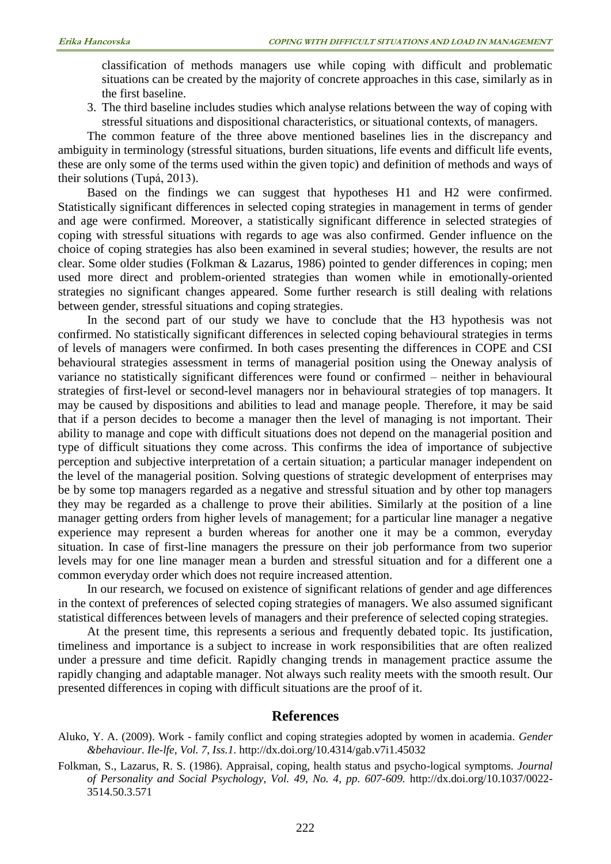classification of methods managers use while coping with difficult and problematic situations can be created by the majority of concrete approaches in this case, similarly as in the first baseline.

3. The third baseline includes studies which analyse relations between the way of coping with stressful situations and dispositional characteristics, or situational contexts, of managers.

The common feature of the three above mentioned baselines lies in the discrepancy and ambiguity in terminology (stressful situations, burden situations, life events and difficult life events, these are only some of the terms used within the given topic) and definition of methods and ways of their solutions (Tupá, 2013).

Based on the findings we can suggest that hypotheses H1 and H2 were confirmed. Statistically significant differences in selected coping strategies in management in terms of gender and age were confirmed. Moreover, a statistically significant difference in selected strategies of coping with stressful situations with regards to age was also confirmed. Gender influence on the choice of coping strategies has also been examined in several studies; however, the results are not clear. Some older studies (Folkman & Lazarus, 1986) pointed to gender differences in coping; men used more direct and problem-oriented strategies than women while in emotionally-oriented strategies no significant changes appeared. Some further research is still dealing with relations between gender, stressful situations and coping strategies.

In the second part of our study we have to conclude that the H3 hypothesis was not confirmed. No statistically significant differences in selected coping behavioural strategies in terms of levels of managers were confirmed. In both cases presenting the differences in COPE and CSI behavioural strategies assessment in terms of managerial position using the Oneway analysis of variance no statistically significant differences were found or confirmed – neither in behavioural strategies of first-level or second-level managers nor in behavioural strategies of top managers. It may be caused by dispositions and abilities to lead and manage people. Therefore, it may be said that if a person decides to become a manager then the level of managing is not important. Their ability to manage and cope with difficult situations does not depend on the managerial position and type of difficult situations they come across. This confirms the idea of importance of subjective perception and subjective interpretation of a certain situation; a particular manager independent on the level of the managerial position. Solving questions of strategic development of enterprises may be by some top managers regarded as a negative and stressful situation and by other top managers they may be regarded as a challenge to prove their abilities. Similarly at the position of a line manager getting orders from higher levels of management; for a particular line manager a negative experience may represent a burden whereas for another one it may be a common, everyday situation. In case of first-line managers the pressure on their job performance from two superior levels may for one line manager mean a burden and stressful situation and for a different one a common everyday order which does not require increased attention.

In our research, we focused on existence of significant relations of gender and age differences in the context of preferences of selected coping strategies of managers. We also assumed significant statistical differences between levels of managers and their preference of selected coping strategies.

At the present time, this represents a serious and frequently debated topic. Its justification, timeliness and importance is a subject to increase in work responsibilities that are often realized under a pressure and time deficit. Rapidly changing trends in management practice assume the rapidly changing and adaptable manager. Not always such reality meets with the smooth result. Our presented differences in coping with difficult situations are the proof of it.

#### **References**

- Aluko, Y. A. (2009). Work family conflict and coping strategies adopted by women in academia*. Gender &behaviour. Ile-lfe, Vol. 7, Iss.1.* <http://dx.doi.org/10.4314/gab.v7i1.45032>
- Folkman, S., Lazarus, R. S. (1986). Appraisal, coping, health status and psycho-logical symptoms*. Journal of Personality and Social Psychology*, *Vol. 49, No. 4, pp. 607-609.* [http://dx.doi.org/10.1037/0022-](http://dx.doi.org/10.1037/0022-3514.50.3.571) [3514.50.3.571](http://dx.doi.org/10.1037/0022-3514.50.3.571)